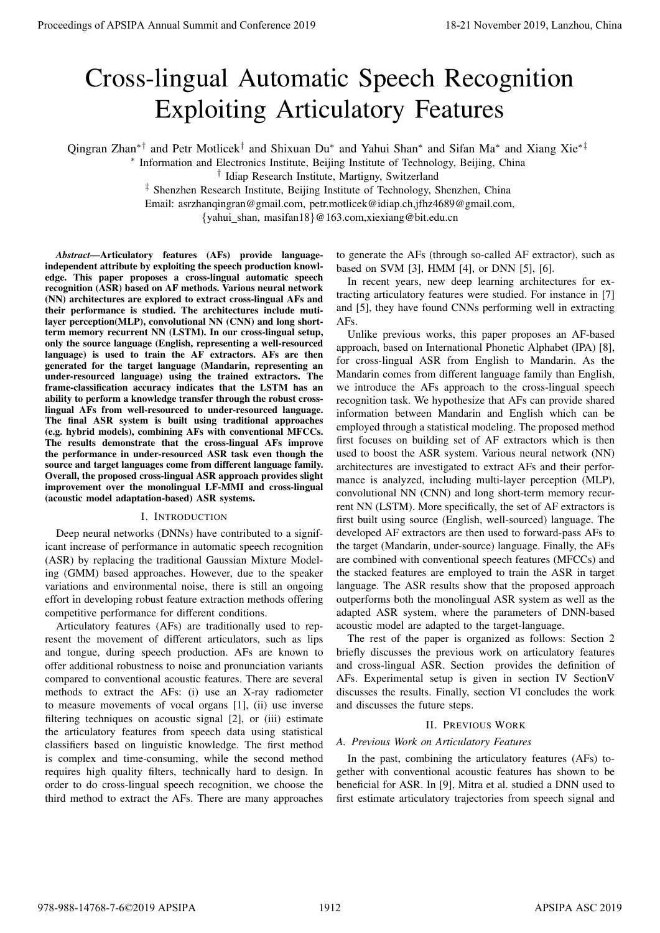# Cross-lingual Automatic Speech Recognition Exploiting Articulatory Features

Qingran Zhan<sup>∗†</sup> and Petr Motlicek<sup>†</sup> and Shixuan Du<sup>∗</sup> and Yahui Shan<sup>∗</sup> and Sifan Ma<sup>∗</sup> and Xiang Xie<sup>∗‡</sup>

∗ Information and Electronics Institute, Beijing Institute of Technology, Beijing, China

† Idiap Research Institute, Martigny, Switzerland

‡ Shenzhen Research Institute, Beijing Institute of Technology, Shenzhen, China

Email: asrzhanqingran@gmail.com, petr.motlicek@idiap.ch,jfhz4689@gmail.com,

{yahui shan, masifan18}@163.com,xiexiang@bit.edu.cn

*Abstract*—Articulatory features (AFs) provide languageindependent attribute by exploiting the speech production knowledge. This paper proposes a cross-lingual automatic speech recognition (ASR) based on AF methods. Various neural network (NN) architectures are explored to extract cross-lingual AFs and their performance is studied. The architectures include mutilayer perception(MLP), convolutional NN (CNN) and long shortterm memory recurrent NN (LSTM). In our cross-lingual setup, only the source language (English, representing a well-resourced language) is used to train the AF extractors. AFs are then generated for the target language (Mandarin, representing an under-resourced language) using the trained extractors. The frame-classification accuracy indicates that the LSTM has an ability to perform a knowledge transfer through the robust crosslingual AFs from well-resourced to under-resourced language. The final ASR system is built using traditional approaches (e.g. hybrid models), combining AFs with conventional MFCCs. The results demonstrate that the cross-lingual AFs improve the performance in under-resourced ASR task even though the source and target languages come from different language family. Overall, the proposed cross-lingual ASR approach provides slight improvement over the monolingual LF-MMI and cross-lingual (acoustic model adaptation-based) ASR systems.

## I. INTRODUCTION

Deep neural networks (DNNs) have contributed to a significant increase of performance in automatic speech recognition (ASR) by replacing the traditional Gaussian Mixture Modeling (GMM) based approaches. However, due to the speaker variations and environmental noise, there is still an ongoing effort in developing robust feature extraction methods offering competitive performance for different conditions.

Articulatory features (AFs) are traditionally used to represent the movement of different articulators, such as lips and tongue, during speech production. AFs are known to offer additional robustness to noise and pronunciation variants compared to conventional acoustic features. There are several methods to extract the AFs: (i) use an X-ray radiometer to measure movements of vocal organs [1], (ii) use inverse filtering techniques on acoustic signal [2], or (iii) estimate the articulatory features from speech data using statistical classifiers based on linguistic knowledge. The first method is complex and time-consuming, while the second method requires high quality filters, technically hard to design. In order to do cross-lingual speech recognition, we choose the third method to extract the AFs. There are many approaches

to generate the AFs (through so-called AF extractor), such as based on SVM [3], HMM [4], or DNN [5], [6].

In recent years, new deep learning architectures for extracting articulatory features were studied. For instance in [7] and [5], they have found CNNs performing well in extracting AFs.

Unlike previous works, this paper proposes an AF-based approach, based on International Phonetic Alphabet (IPA) [8], for cross-lingual ASR from English to Mandarin. As the Mandarin comes from different language family than English, we introduce the AFs approach to the cross-lingual speech recognition task. We hypothesize that AFs can provide shared information between Mandarin and English which can be employed through a statistical modeling. The proposed method first focuses on building set of AF extractors which is then used to boost the ASR system. Various neural network (NN) architectures are investigated to extract AFs and their performance is analyzed, including multi-layer perception (MLP), convolutional NN (CNN) and long short-term memory recurrent NN (LSTM). More specifically, the set of AF extractors is first built using source (English, well-sourced) language. The developed AF extractors are then used to forward-pass AFs to the target (Mandarin, under-source) language. Finally, the AFs are combined with conventional speech features (MFCCs) and the stacked features are employed to train the ASR in target language. The ASR results show that the proposed approach outperforms both the monolingual ASR system as well as the adapted ASR system, where the parameters of DNN-based acoustic model are adapted to the target-language. Proceedings of APSIPA Annual Summit and Conference 2019<br>
Cross-Simps Land Annual Summit and Conference 2019<br>
Cross-Simps Land Annual Summit and Conference 2019<br>
<sup>2</sup> interaction and European between the state and conferenc

The rest of the paper is organized as follows: Section 2 briefly discusses the previous work on articulatory features and cross-lingual ASR. Section provides the definition of AFs. Experimental setup is given in section IV SectionV discusses the results. Finally, section VI concludes the work and discusses the future steps.

# II. PREVIOUS WORK

# *A. Previous Work on Articulatory Features*

In the past, combining the articulatory features (AFs) together with conventional acoustic features has shown to be beneficial for ASR. In [9], Mitra et al. studied a DNN used to first estimate articulatory trajectories from speech signal and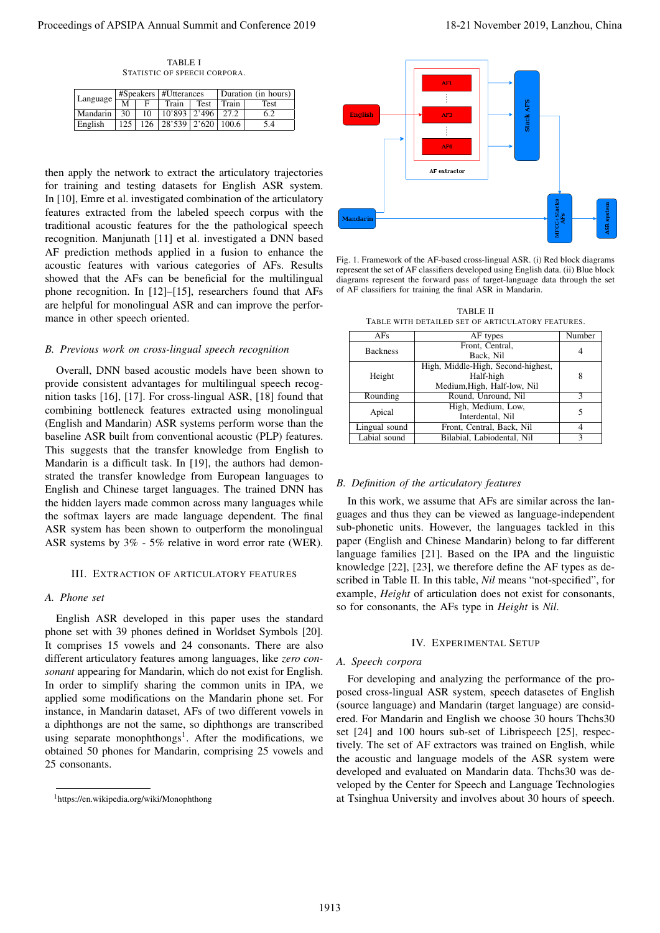TABLE I STATISTIC OF SPEECH CORPORA.

|          | #Speakers   #Utterances |    |                                         |             | Duration (in hours) |      |  |
|----------|-------------------------|----|-----------------------------------------|-------------|---------------------|------|--|
| Language |                         |    | Train                                   | <b>Test</b> | Train               | Test |  |
| Mandarin | 30 <sup>'</sup>         | 10 | $10'893$   2'496   27.2                 |             |                     | 6.2  |  |
| English  | 125 <sup>1</sup>        |    | $126 \mid 28.539 \mid 2.620 \mid 100.6$ |             |                     | 5.4  |  |

then apply the network to extract the articulatory trajectories for training and testing datasets for English ASR system. In [10], Emre et al. investigated combination of the articulatory features extracted from the labeled speech corpus with the traditional acoustic features for the the pathological speech recognition. Manjunath [11] et al. investigated a DNN based AF prediction methods applied in a fusion to enhance the acoustic features with various categories of AFs. Results showed that the AFs can be beneficial for the multilingual phone recognition. In [12]–[15], researchers found that AFs are helpful for monolingual ASR and can improve the performance in other speech oriented.

#### *B. Previous work on cross-lingual speech recognition*

Overall, DNN based acoustic models have been shown to provide consistent advantages for multilingual speech recognition tasks [16], [17]. For cross-lingual ASR, [18] found that combining bottleneck features extracted using monolingual (English and Mandarin) ASR systems perform worse than the baseline ASR built from conventional acoustic (PLP) features. This suggests that the transfer knowledge from English to Mandarin is a difficult task. In [19], the authors had demonstrated the transfer knowledge from European languages to English and Chinese target languages. The trained DNN has the hidden layers made common across many languages while the softmax layers are made language dependent. The final ASR system has been shown to outperform the monolingual ASR systems by 3% - 5% relative in word error rate (WER).

## III. EXTRACTION OF ARTICULATORY FEATURES

## *A. Phone set*

English ASR developed in this paper uses the standard phone set with 39 phones defined in Worldset Symbols [20]. It comprises 15 vowels and 24 consonants. There are also different articulatory features among languages, like *zero consonant* appearing for Mandarin, which do not exist for English. In order to simplify sharing the common units in IPA, we applied some modifications on the Mandarin phone set. For instance, in Mandarin dataset, AFs of two different vowels in a diphthongs are not the same, so diphthongs are transcribed using separate monophthongs<sup>1</sup>. After the modifications, we obtained 50 phones for Mandarin, comprising 25 vowels and 25 consonants.





Fig. 1. Framework of the AF-based cross-lingual ASR. (i) Red block diagrams represent the set of AF classifiers developed using English data. (ii) Blue block diagrams represent the forward pass of target-language data through the set of AF classifiers for training the final ASR in Mandarin.

| TABLE II |  |                                                   |  |  |  |  |  |  |
|----------|--|---------------------------------------------------|--|--|--|--|--|--|
|          |  | TABLE WITH DETAILED SET OF ARTICULATORY FEATURES. |  |  |  |  |  |  |

| AFs             | AF types                                                                       | Number |
|-----------------|--------------------------------------------------------------------------------|--------|
| <b>Backness</b> | Front, Central,<br>Back, Nil                                                   |        |
| Height          | High, Middle-High, Second-highest,<br>Half-high<br>Medium, High, Half-low, Nil | 8      |
| Rounding        | Round, Unround, Nil                                                            | 3      |
| Apical          | High, Medium, Low,<br>Interdental, Nil                                         | 5      |
| Lingual sound   | Front, Central, Back, Nil                                                      | 4      |
| Labial sound    | Bilabial, Labiodental, Nil                                                     | ٩      |

## *B. Definition of the articulatory features*

In this work, we assume that AFs are similar across the languages and thus they can be viewed as language-independent sub-phonetic units. However, the languages tackled in this paper (English and Chinese Mandarin) belong to far different language families [21]. Based on the IPA and the linguistic knowledge [22], [23], we therefore define the AF types as described in Table II. In this table, *Nil* means "not-specified", for example, *Height* of articulation does not exist for consonants, so for consonants, the AFs type in *Height* is *Nil*.

#### IV. EXPERIMENTAL SETUP

#### *A. Speech corpora*

For developing and analyzing the performance of the proposed cross-lingual ASR system, speech datasetes of English (source language) and Mandarin (target language) are considered. For Mandarin and English we choose 30 hours Thchs30 set [24] and 100 hours sub-set of Librispeech [25], respectively. The set of AF extractors was trained on English, while the acoustic and language models of the ASR system were developed and evaluated on Mandarin data. Thchs30 was developed by the Center for Speech and Language Technologies at Tsinghua University and involves about 30 hours of speech.

<sup>1</sup>https://en.wikipedia.org/wiki/Monophthong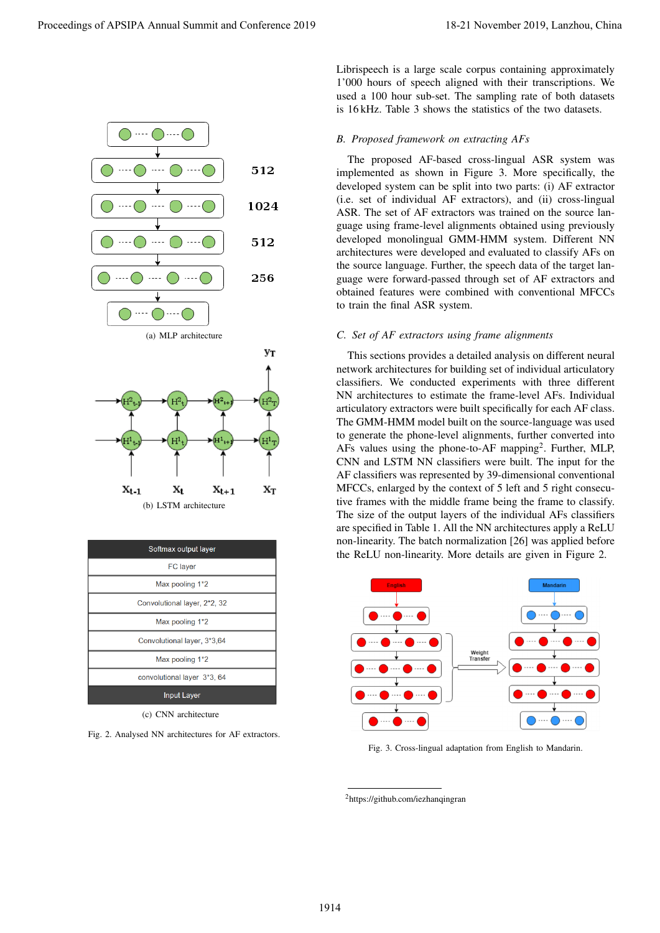



(c) CNN architecture



Librispeech is a large scale corpus containing approximately 1'000 hours of speech aligned with their transcriptions. We used a 100 hour sub-set. The sampling rate of both datasets is 16 kHz. Table 3 shows the statistics of the two datasets.

## *B. Proposed framework on extracting AFs*

The proposed AF-based cross-lingual ASR system was implemented as shown in Figure 3. More specifically, the developed system can be split into two parts: (i) AF extractor (i.e. set of individual AF extractors), and (ii) cross-lingual ASR. The set of AF extractors was trained on the source language using frame-level alignments obtained using previously developed monolingual GMM-HMM system. Different NN architectures were developed and evaluated to classify AFs on the source language. Further, the speech data of the target language were forward-passed through set of AF extractors and obtained features were combined with conventional MFCCs to train the final ASR system.

## *C. Set of AF extractors using frame alignments*

This sections provides a detailed analysis on different neural network architectures for building set of individual articulatory classifiers. We conducted experiments with three different NN architectures to estimate the frame-level AFs. Individual articulatory extractors were built specifically for each AF class. The GMM-HMM model built on the source-language was used to generate the phone-level alignments, further converted into AFs values using the phone-to-AF mapping<sup>2</sup>. Further, MLP, CNN and LSTM NN classifiers were built. The input for the AF classifiers was represented by 39-dimensional conventional MFCCs, enlarged by the context of 5 left and 5 right consecutive frames with the middle frame being the frame to classify. The size of the output layers of the individual AFs classifiers are specified in Table 1. All the NN architectures apply a ReLU non-linearity. The batch normalization [26] was applied before the ReLU non-linearity. More details are given in Figure 2.



Fig. 3. Cross-lingual adaptation from English to Mandarin.

<sup>2</sup>https://github.com/iezhanqingran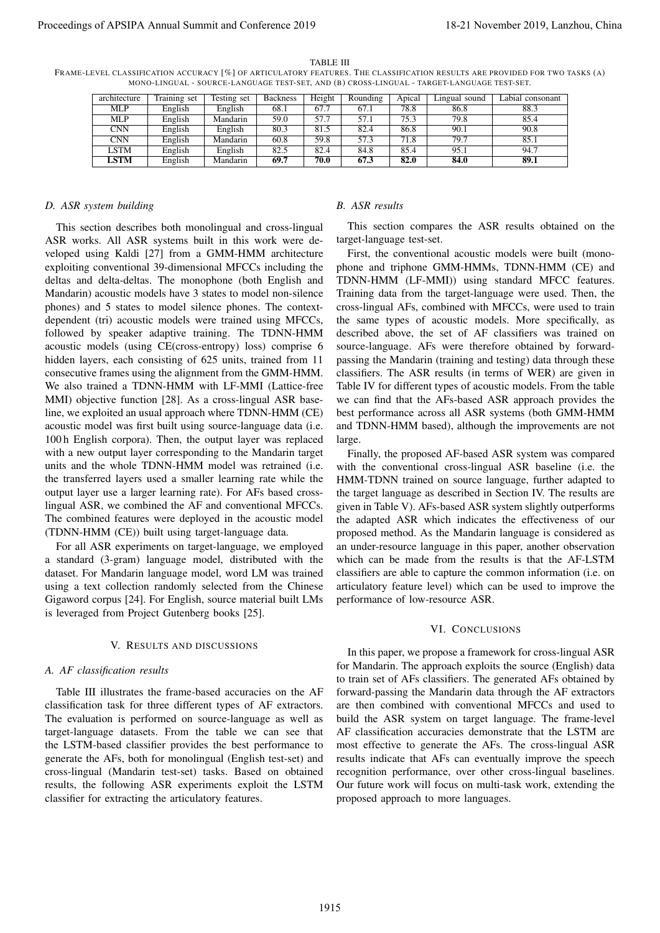| architecture | Training set | Testing set | <b>Backness</b> | Height | Rounding | Apical | Lingual sound | abial consonant |
|--------------|--------------|-------------|-----------------|--------|----------|--------|---------------|-----------------|
| MLP          | English      | English     | 68.1            | 67.7   | 67.1     | 78.8   | 86.8          | 88.3            |
| MLP          | English      | Mandarin    | 59.0            | 57.7   | 57.1     | 75.3   | 79.8          | 85.4            |
| CNN          | English      | English     | 80.3            | 81.5   | 82.4     | 86.8   | 90.1          | 90.8            |
| <b>CNN</b>   | English      | Mandarin    | 60.8            | 59.8   | 57.3     | 71.8   | 79.7          | 85.1            |
| LSTM         | English      | English     | 82.5            | 82.4   | 84.8     | 85.4   | 95.1          | 94.7            |
| LSTM         | English      | Mandarin    | 69.7            | 70.0   | 67.3     | 82.0   | 84.0          | 89.1            |

MONO-LINGUAL - SOURCE-LANGUAGE TEST-SET, AND (B) CROSS-LINGUAL - TARGET-LANGUAGE TEST-SET.

TABLE III FRAME-LEVEL CLASSIFICATION ACCURACY [%] OF ARTICULATORY FEATURES. THE CLASSIFICATION RESULTS ARE PROVIDED FOR TWO TASKS (A)

## *D. ASR system building*

This section describes both monolingual and cross-lingual ASR works. All ASR systems built in this work were developed using Kaldi [27] from a GMM-HMM architecture exploiting conventional 39-dimensional MFCCs including the deltas and delta-deltas. The monophone (both English and Mandarin) acoustic models have 3 states to model non-silence phones) and 5 states to model silence phones. The contextdependent (tri) acoustic models were trained using MFCCs, followed by speaker adaptive training. The TDNN-HMM acoustic models (using CE(cross-entropy) loss) comprise 6 hidden layers, each consisting of 625 units, trained from 11 consecutive frames using the alignment from the GMM-HMM. We also trained a TDNN-HMM with LF-MMI (Lattice-free MMI) objective function [28]. As a cross-lingual ASR baseline, we exploited an usual approach where TDNN-HMM (CE) acoustic model was first built using source-language data (i.e. 100 h English corpora). Then, the output layer was replaced with a new output layer corresponding to the Mandarin target units and the whole TDNN-HMM model was retrained (i.e. the transferred layers used a smaller learning rate while the output layer use a larger learning rate). For AFs based crosslingual ASR, we combined the AF and conventional MFCCs. The combined features were deployed in the acoustic model (TDNN-HMM (CE)) built using target-language data. Proceedings of APSIPA Annual Summit and Conference 2019 18-21 November 2019, Lanzhou, China 1915

For all ASR experiments on target-language, we employed a standard (3-gram) language model, distributed with the dataset. For Mandarin language model, word LM was trained using a text collection randomly selected from the Chinese Gigaword corpus [24]. For English, source material built LMs is leveraged from Project Gutenberg books [25].

#### V. RESULTS AND DISCUSSIONS

## *A. AF classification results*

Table III illustrates the frame-based accuracies on the AF classification task for three different types of AF extractors. The evaluation is performed on source-language as well as target-language datasets. From the table we can see that the LSTM-based classifier provides the best performance to generate the AFs, both for monolingual (English test-set) and cross-lingual (Mandarin test-set) tasks. Based on obtained results, the following ASR experiments exploit the LSTM classifier for extracting the articulatory features.

## *B. ASR results*

This section compares the ASR results obtained on the target-language test-set.

First, the conventional acoustic models were built (monophone and triphone GMM-HMMs, TDNN-HMM (CE) and TDNN-HMM (LF-MMI)) using standard MFCC features. Training data from the target-language were used. Then, the cross-lingual AFs, combined with MFCCs, were used to train the same types of acoustic models. More specifically, as described above, the set of AF classifiers was trained on source-language. AFs were therefore obtained by forwardpassing the Mandarin (training and testing) data through these classifiers. The ASR results (in terms of WER) are given in Table IV for different types of acoustic models. From the table we can find that the AFs-based ASR approach provides the best performance across all ASR systems (both GMM-HMM and TDNN-HMM based), although the improvements are not large.

Finally, the proposed AF-based ASR system was compared with the conventional cross-lingual ASR baseline (i.e. the HMM-TDNN trained on source language, further adapted to the target language as described in Section IV. The results are given in Table V). AFs-based ASR system slightly outperforms the adapted ASR which indicates the effectiveness of our proposed method. As the Mandarin language is considered as an under-resource language in this paper, another observation which can be made from the results is that the AF-LSTM classifiers are able to capture the common information (i.e. on articulatory feature level) which can be used to improve the performance of low-resource ASR.

### VI. CONCLUSIONS

In this paper, we propose a framework for cross-lingual ASR for Mandarin. The approach exploits the source (English) data to train set of AFs classifiers. The generated AFs obtained by forward-passing the Mandarin data through the AF extractors are then combined with conventional MFCCs and used to build the ASR system on target language. The frame-level AF classification accuracies demonstrate that the LSTM are most effective to generate the AFs. The cross-lingual ASR results indicate that AFs can eventually improve the speech recognition performance, over other cross-lingual baselines. Our future work will focus on multi-task work, extending the proposed approach to more languages.